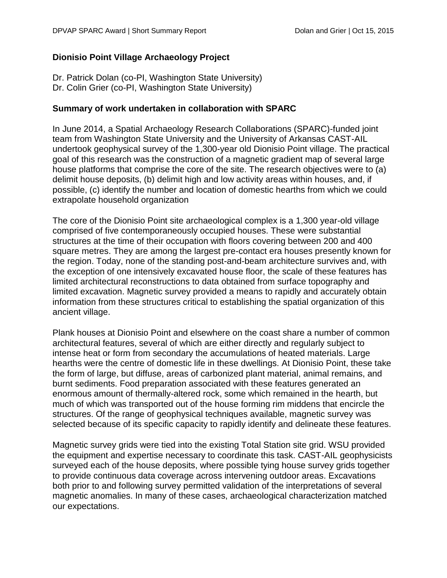# **Dionisio Point Village Archaeology Project**

Dr. Patrick Dolan (co-PI, Washington State University) Dr. Colin Grier (co-PI, Washington State University)

#### **Summary of work undertaken in collaboration with SPARC**

In June 2014, a Spatial Archaeology Research Collaborations (SPARC)-funded joint team from Washington State University and the University of Arkansas CAST-AIL undertook geophysical survey of the 1,300-year old Dionisio Point village. The practical goal of this research was the construction of a magnetic gradient map of several large house platforms that comprise the core of the site. The research objectives were to (a) delimit house deposits, (b) delimit high and low activity areas within houses, and, if possible, (c) identify the number and location of domestic hearths from which we could extrapolate household organization

The core of the Dionisio Point site archaeological complex is a 1,300 year-old village comprised of five contemporaneously occupied houses. These were substantial structures at the time of their occupation with floors covering between 200 and 400 square metres. They are among the largest pre-contact era houses presently known for the region. Today, none of the standing post-and-beam architecture survives and, with the exception of one intensively excavated house floor, the scale of these features has limited architectural reconstructions to data obtained from surface topography and limited excavation. Magnetic survey provided a means to rapidly and accurately obtain information from these structures critical to establishing the spatial organization of this ancient village.

Plank houses at Dionisio Point and elsewhere on the coast share a number of common architectural features, several of which are either directly and regularly subject to intense heat or form from secondary the accumulations of heated materials. Large hearths were the centre of domestic life in these dwellings. At Dionisio Point, these take the form of large, but diffuse, areas of carbonized plant material, animal remains, and burnt sediments. Food preparation associated with these features generated an enormous amount of thermally-altered rock, some which remained in the hearth, but much of which was transported out of the house forming rim middens that encircle the structures. Of the range of geophysical techniques available, magnetic survey was selected because of its specific capacity to rapidly identify and delineate these features.

Magnetic survey grids were tied into the existing Total Station site grid. WSU provided the equipment and expertise necessary to coordinate this task. CAST-AIL geophysicists surveyed each of the house deposits, where possible tying house survey grids together to provide continuous data coverage across intervening outdoor areas. Excavations both prior to and following survey permitted validation of the interpretations of several magnetic anomalies. In many of these cases, archaeological characterization matched our expectations.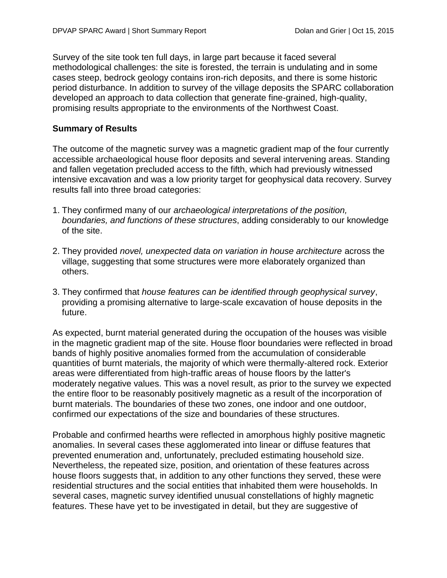Survey of the site took ten full days, in large part because it faced several methodological challenges: the site is forested, the terrain is undulating and in some cases steep, bedrock geology contains iron-rich deposits, and there is some historic period disturbance. In addition to survey of the village deposits the SPARC collaboration developed an approach to data collection that generate fine-grained, high-quality, promising results appropriate to the environments of the Northwest Coast.

# **Summary of Results**

The outcome of the magnetic survey was a magnetic gradient map of the four currently accessible archaeological house floor deposits and several intervening areas. Standing and fallen vegetation precluded access to the fifth, which had previously witnessed intensive excavation and was a low priority target for geophysical data recovery. Survey results fall into three broad categories:

- 1. They confirmed many of our *archaeological interpretations of the position, boundaries, and functions of these structures*, adding considerably to our knowledge of the site.
- 2. They provided *novel, unexpected data on variation in house architecture* across the village, suggesting that some structures were more elaborately organized than others.
- 3. They confirmed that *house features can be identified through geophysical survey*, providing a promising alternative to large-scale excavation of house deposits in the future.

As expected, burnt material generated during the occupation of the houses was visible in the magnetic gradient map of the site. House floor boundaries were reflected in broad bands of highly positive anomalies formed from the accumulation of considerable quantities of burnt materials, the majority of which were thermally-altered rock. Exterior areas were differentiated from high-traffic areas of house floors by the latter's moderately negative values. This was a novel result, as prior to the survey we expected the entire floor to be reasonably positively magnetic as a result of the incorporation of burnt materials. The boundaries of these two zones, one indoor and one outdoor, confirmed our expectations of the size and boundaries of these structures.

Probable and confirmed hearths were reflected in amorphous highly positive magnetic anomalies. In several cases these agglomerated into linear or diffuse features that prevented enumeration and, unfortunately, precluded estimating household size. Nevertheless, the repeated size, position, and orientation of these features across house floors suggests that, in addition to any other functions they served, these were residential structures and the social entities that inhabited them were households. In several cases, magnetic survey identified unusual constellations of highly magnetic features. These have yet to be investigated in detail, but they are suggestive of